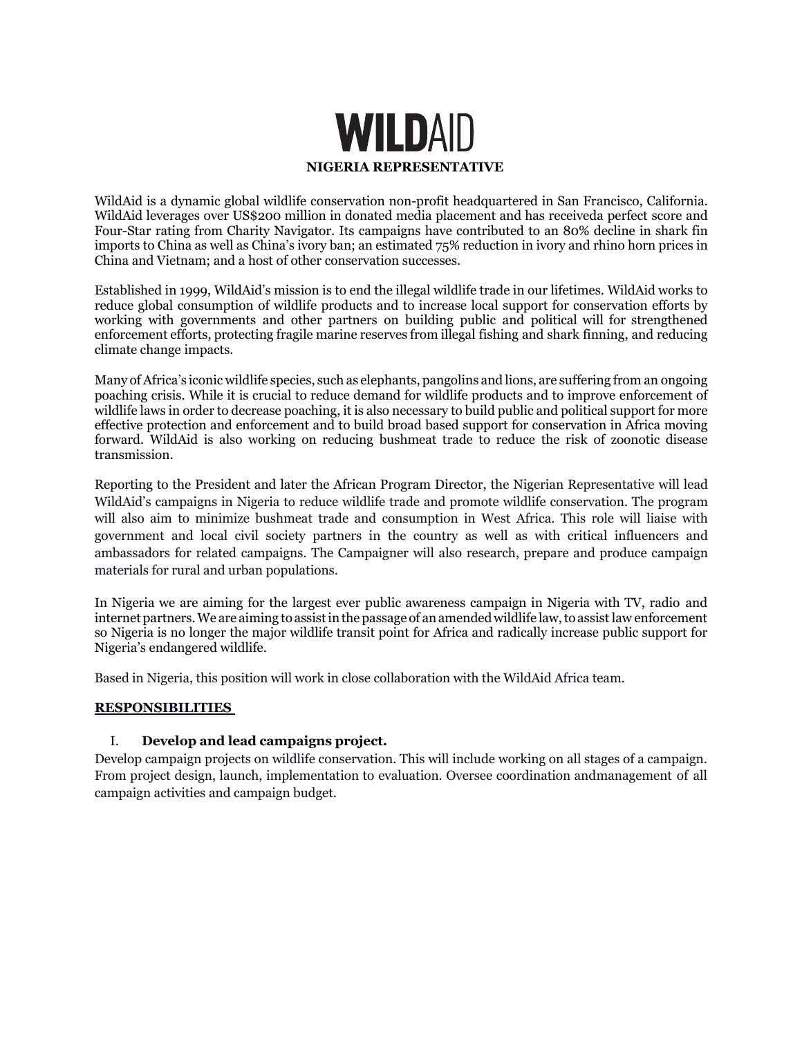

WildAid is a dynamic global wildlife conservation non-profit headquartered in San Francisco, California. WildAid leverages over US\$200 million in donated media placement and has receiveda perfect score and Four-Star rating from Charity Navigator. Its campaigns have contributed to an 80% decline in shark fin imports to China as well as China's ivory ban; an estimated 75% reduction in ivory and rhino horn prices in China and Vietnam; and a host of other conservation successes.

Established in 1999, WildAid's mission is to end the illegal wildlife trade in our lifetimes. WildAid works to reduce global consumption of wildlife products and to increase local support for conservation efforts by working with governments and other partners on building public and political will for strengthened enforcement efforts, protecting fragile marine reserves from illegal fishing and shark finning, and reducing climate change impacts.

Many of Africa's iconic wildlife species, such as elephants, pangolins and lions, are suffering from an ongoing poaching crisis. While it is crucial to reduce demand for wildlife products and to improve enforcement of wildlife laws in order to decrease poaching, it is also necessary to build public and political support for more effective protection and enforcement and to build broad based support for conservation in Africa moving forward. WildAid is also working on reducing bushmeat trade to reduce the risk of zoonotic disease transmission.

Reporting to the President and later the African Program Director, the Nigerian Representative will lead WildAid's campaigns in Nigeria to reduce wildlife trade and promote wildlife conservation. The program will also aim to minimize bushmeat trade and consumption in West Africa. This role will liaise with government and local civil society partners in the country as well as with critical influencers and ambassadors for related campaigns. The Campaigner will also research, prepare and produce campaign materials for rural and urban populations.

In Nigeria we are aiming for the largest ever public awareness campaign in Nigeria with TV, radio and internet partners. We are aiming to assist in the passage of an amended wildlife law, to assist law enforcement so Nigeria is no longer the major wildlife transit point for Africa and radically increase public support for Nigeria's endangered wildlife.

Based in Nigeria, this position will work in close collaboration with the WildAid Africa team.

## **RESPONSIBILITIES**

## I. **Develop and lead campaigns project.**

Develop campaign projects on wildlife conservation. This will include working on all stages of a campaign. From project design, launch, implementation to evaluation. Oversee coordination andmanagement of all campaign activities and campaign budget.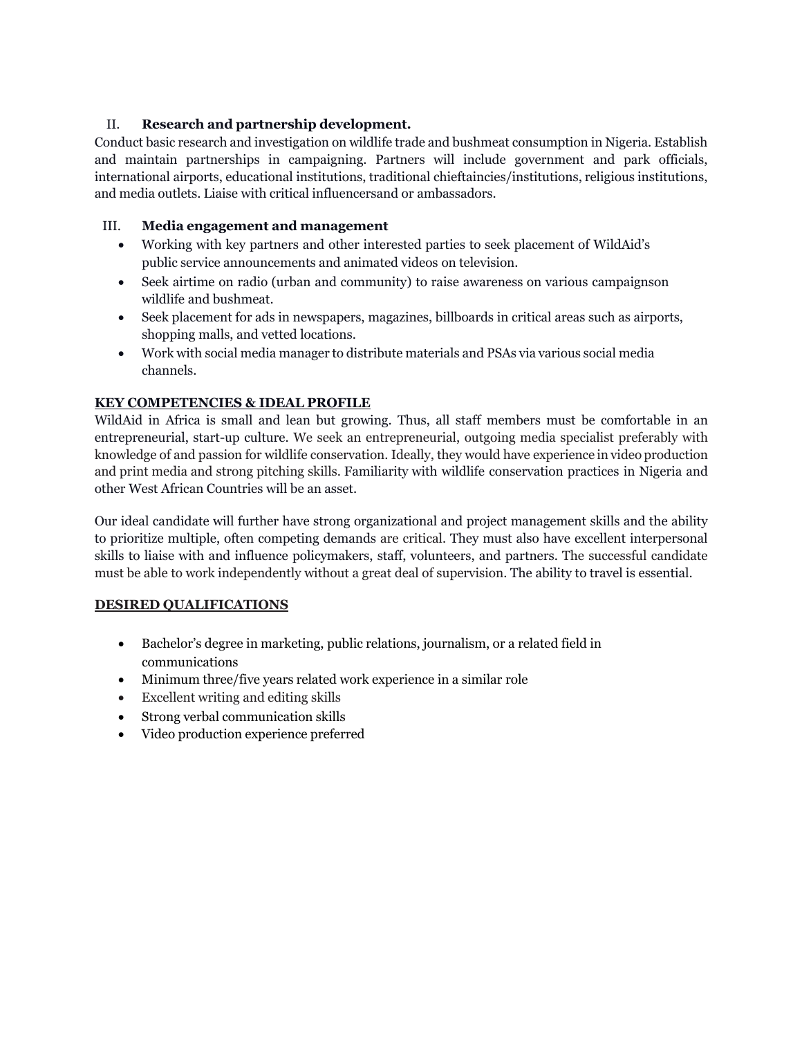## II. **Research and partnership development.**

Conduct basic research and investigation on wildlife trade and bushmeat consumption in Nigeria. Establish and maintain partnerships in campaigning. Partners will include government and park officials, international airports, educational institutions, traditional chieftaincies/institutions, religious institutions, and media outlets. Liaise with critical influencersand or ambassadors.

## III. **Media engagement and management**

- Working with key partners and other interested parties to seek placement of WildAid's public service announcements and animated videos on television.
- Seek airtime on radio (urban and community) to raise awareness on various campaignson wildlife and bushmeat.
- Seek placement for ads in newspapers, magazines, billboards in critical areas such as airports, shopping malls, and vetted locations.
- Work with social media manager to distribute materials and PSAs via various social media channels.

# **KEY COMPETENCIES & IDEAL PROFILE**

WildAid in Africa is small and lean but growing. Thus, all staff members must be comfortable in an entrepreneurial, start-up culture. We seek an entrepreneurial, outgoing media specialist preferably with knowledge of and passion for wildlife conservation. Ideally, they would have experience in video production and print media and strong pitching skills. Familiarity with wildlife conservation practices in Nigeria and other West African Countries will be an asset.

Our ideal candidate will further have strong organizational and project management skills and the ability to prioritize multiple, often competing demands are critical. They must also have excellent interpersonal skills to liaise with and influence policymakers, staff, volunteers, and partners. The successful candidate must be able to work independently without a great deal of supervision. The ability to travel is essential.

# **DESIRED QUALIFICATIONS**

- Bachelor's degree in marketing, public relations, journalism, or a related field in communications
- Minimum three/five years related work experience in a similar role
- Excellent writing and editing skills
- Strong verbal communication skills
- Video production experience preferred